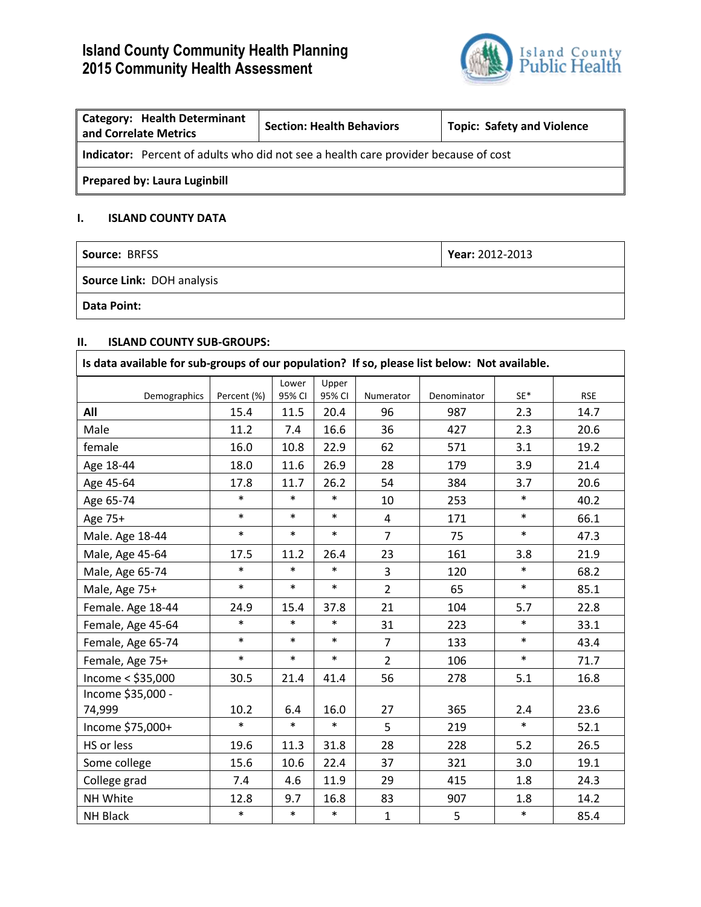# **Island County Community Health Planning 2015 Community Health Assessment**



| Category: Health Determinant<br>and Correlate Metrics                               | <b>Section: Health Behaviors</b> | <b>Topic: Safety and Violence</b> |  |  |  |  |
|-------------------------------------------------------------------------------------|----------------------------------|-----------------------------------|--|--|--|--|
| Indicator: Percent of adults who did not see a health care provider because of cost |                                  |                                   |  |  |  |  |
| Prepared by: Laura Luginbill                                                        |                                  |                                   |  |  |  |  |

### **I. ISLAND COUNTY DATA**

| <b>Source: BRFSS</b>      | Year: 2012-2013 |  |  |
|---------------------------|-----------------|--|--|
| Source Link: DOH analysis |                 |  |  |
| <b>Data Point:</b>        |                 |  |  |

## **II. ISLAND COUNTY SUB-GROUPS:**

| Is data available for sub-groups of our population? If so, please list below: Not available. |             |                 |                 |                |             |                 |            |
|----------------------------------------------------------------------------------------------|-------------|-----------------|-----------------|----------------|-------------|-----------------|------------|
| Demographics                                                                                 | Percent (%) | Lower<br>95% CI | Upper<br>95% CI | Numerator      | Denominator | $\mathsf{SE}^*$ | <b>RSE</b> |
| All                                                                                          | 15.4        | 11.5            | 20.4            | 96             | 987         | 2.3             | 14.7       |
| Male                                                                                         | 11.2        | 7.4             | 16.6            | 36             | 427         | 2.3             | 20.6       |
| female                                                                                       | 16.0        | 10.8            | 22.9            | 62             | 571         | 3.1             | 19.2       |
| Age 18-44                                                                                    | 18.0        | 11.6            | 26.9            | 28             | 179         | 3.9             | 21.4       |
| Age 45-64                                                                                    | 17.8        | 11.7            | 26.2            | 54             | 384         | 3.7             | 20.6       |
| Age 65-74                                                                                    | $\ast$      | $\ast$          | $\ast$          | 10             | 253         | $\ast$          | 40.2       |
| Age 75+                                                                                      | $\ast$      | $\ast$          | $\ast$          | $\overline{4}$ | 171         | $\ast$          | 66.1       |
| Male. Age 18-44                                                                              | $\ast$      | $\ast$          | $\ast$          | $\overline{7}$ | 75          | $\ast$          | 47.3       |
| Male, Age 45-64                                                                              | 17.5        | 11.2            | 26.4            | 23             | 161         | 3.8             | 21.9       |
| Male, Age 65-74                                                                              | $\ast$      | $\ast$          | $\ast$          | 3              | 120         | $\ast$          | 68.2       |
| Male, Age 75+                                                                                | $\ast$      | $\ast$          | $\ast$          | $\overline{2}$ | 65          | $\ast$          | 85.1       |
| Female. Age 18-44                                                                            | 24.9        | 15.4            | 37.8            | 21             | 104         | 5.7             | 22.8       |
| Female, Age 45-64                                                                            | $\ast$      | $\ast$          | $\ast$          | 31             | 223         | $\ast$          | 33.1       |
| Female, Age 65-74                                                                            | $\ast$      | $\ast$          | $\ast$          | $\overline{7}$ | 133         | $\ast$          | 43.4       |
| Female, Age 75+                                                                              | $\ast$      | $\ast$          | $\ast$          | $\overline{2}$ | 106         | $\ast$          | 71.7       |
| Income $<$ \$35,000                                                                          | 30.5        | 21.4            | 41.4            | 56             | 278         | 5.1             | 16.8       |
| Income \$35,000 -<br>74,999                                                                  | 10.2        | 6.4             | 16.0            | 27             | 365         | 2.4             | 23.6       |
| Income \$75,000+                                                                             | $\ast$      | $\ast$          | $\ast$          | 5              | 219         | $\ast$          | 52.1       |
| HS or less                                                                                   | 19.6        | 11.3            | 31.8            | 28             | 228         | 5.2             | 26.5       |
| Some college                                                                                 | 15.6        | 10.6            | 22.4            | 37             | 321         | 3.0             | 19.1       |
| College grad                                                                                 | 7.4         | 4.6             | 11.9            | 29             | 415         | 1.8             | 24.3       |
| NH White                                                                                     | 12.8        | 9.7             | 16.8            | 83             | 907         | 1.8             | 14.2       |
| NH Black                                                                                     | $\ast$      | $\ast$          | $\ast$          | $\mathbf 1$    | 5           | $\ast$          | 85.4       |